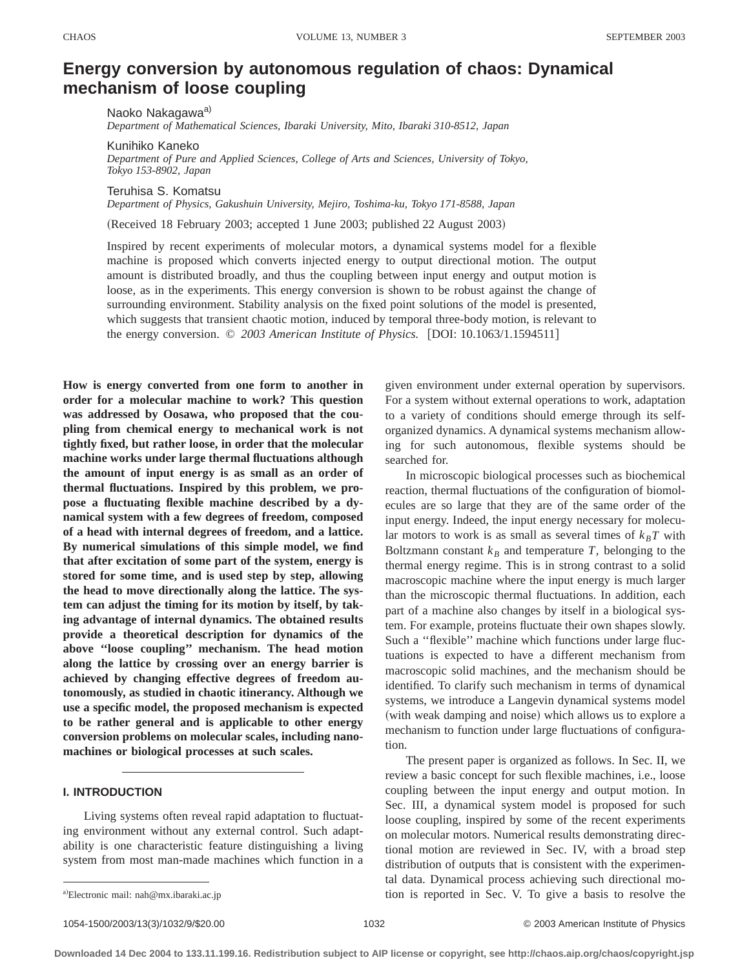# **Energy conversion by autonomous regulation of chaos: Dynamical mechanism of loose coupling**

Naoko Nakagawa<sup>a)</sup>

*Department of Mathematical Sciences, Ibaraki University, Mito, Ibaraki 310-8512, Japan*

Kunihiko Kaneko

*Department of Pure and Applied Sciences, College of Arts and Sciences, University of Tokyo, Tokyo 153-8902, Japan*

Teruhisa S. Komatsu

*Department of Physics, Gakushuin University, Mejiro, Toshima-ku, Tokyo 171-8588, Japan*

(Received 18 February 2003; accepted 1 June 2003; published 22 August 2003)

Inspired by recent experiments of molecular motors, a dynamical systems model for a flexible machine is proposed which converts injected energy to output directional motion. The output amount is distributed broadly, and thus the coupling between input energy and output motion is loose, as in the experiments. This energy conversion is shown to be robust against the change of surrounding environment. Stability analysis on the fixed point solutions of the model is presented, which suggests that transient chaotic motion, induced by temporal three-body motion, is relevant to the energy conversion.  $\odot$  2003 American Institute of Physics. [DOI: 10.1063/1.1594511]

**How is energy converted from one form to another in order for a molecular machine to work? This question was addressed by Oosawa, who proposed that the coupling from chemical energy to mechanical work is not tightly fixed, but rather loose, in order that the molecular machine works under large thermal fluctuations although the amount of input energy is as small as an order of thermal fluctuations. Inspired by this problem, we propose a fluctuating flexible machine described by a dynamical system with a few degrees of freedom, composed of a head with internal degrees of freedom, and a lattice. By numerical simulations of this simple model, we find that after excitation of some part of the system, energy is stored for some time, and is used step by step, allowing the head to move directionally along the lattice. The system can adjust the timing for its motion by itself, by taking advantage of internal dynamics. The obtained results provide a theoretical description for dynamics of the above ''loose coupling'' mechanism. The head motion along the lattice by crossing over an energy barrier is achieved by changing effective degrees of freedom autonomously, as studied in chaotic itinerancy. Although we use a specific model, the proposed mechanism is expected to be rather general and is applicable to other energy conversion problems on molecular scales, including nanomachines or biological processes at such scales.**

# **I. INTRODUCTION**

Living systems often reveal rapid adaptation to fluctuating environment without any external control. Such adaptability is one characteristic feature distinguishing a living system from most man-made machines which function in a given environment under external operation by supervisors. For a system without external operations to work, adaptation to a variety of conditions should emerge through its selforganized dynamics. A dynamical systems mechanism allowing for such autonomous, flexible systems should be searched for.

In microscopic biological processes such as biochemical reaction, thermal fluctuations of the configuration of biomolecules are so large that they are of the same order of the input energy. Indeed, the input energy necessary for molecular motors to work is as small as several times of  $k_B T$  with Boltzmann constant  $k_B$  and temperature *T*, belonging to the thermal energy regime. This is in strong contrast to a solid macroscopic machine where the input energy is much larger than the microscopic thermal fluctuations. In addition, each part of a machine also changes by itself in a biological system. For example, proteins fluctuate their own shapes slowly. Such a ''flexible'' machine which functions under large fluctuations is expected to have a different mechanism from macroscopic solid machines, and the mechanism should be identified. To clarify such mechanism in terms of dynamical systems, we introduce a Langevin dynamical systems model (with weak damping and noise) which allows us to explore a mechanism to function under large fluctuations of configuration.

The present paper is organized as follows. In Sec. II, we review a basic concept for such flexible machines, i.e., loose coupling between the input energy and output motion. In Sec. III, a dynamical system model is proposed for such loose coupling, inspired by some of the recent experiments on molecular motors. Numerical results demonstrating directional motion are reviewed in Sec. IV, with a broad step distribution of outputs that is consistent with the experimental data. Dynamical process achieving such directional motion is reported in Sec. V. To give a basis to resolve the

a)Electronic mail: nah@mx.ibaraki.ac.jp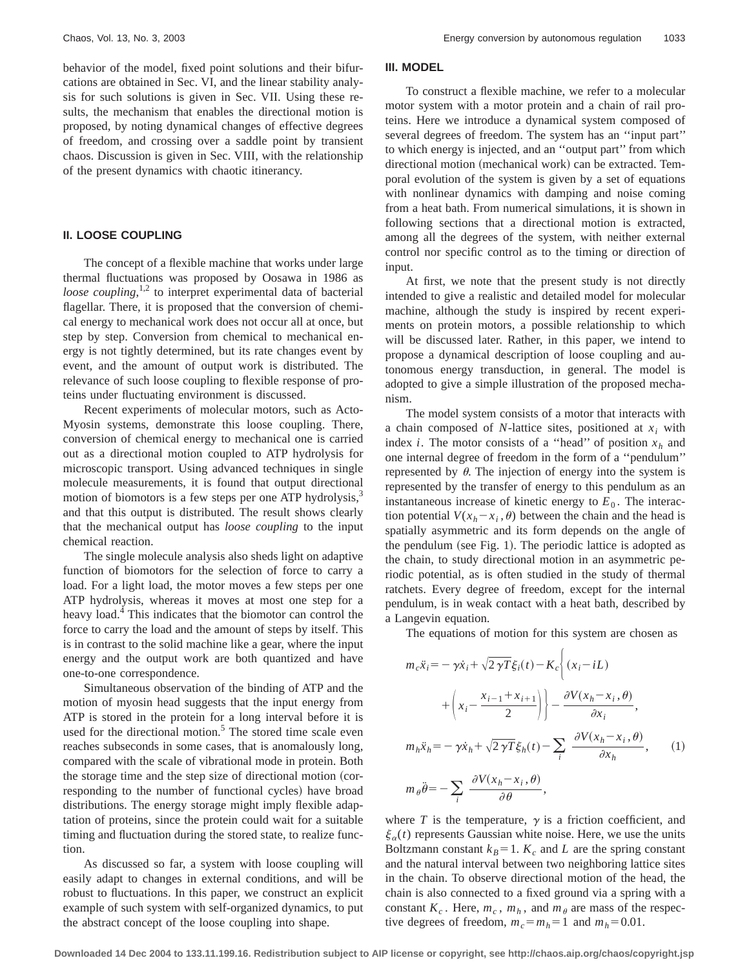behavior of the model, fixed point solutions and their bifurcations are obtained in Sec. VI, and the linear stability analysis for such solutions is given in Sec. VII. Using these results, the mechanism that enables the directional motion is proposed, by noting dynamical changes of effective degrees of freedom, and crossing over a saddle point by transient chaos. Discussion is given in Sec. VIII, with the relationship of the present dynamics with chaotic itinerancy.

## **II. LOOSE COUPLING**

The concept of a flexible machine that works under large thermal fluctuations was proposed by Oosawa in 1986 as loose coupling,<sup>1,2</sup> to interpret experimental data of bacterial flagellar. There, it is proposed that the conversion of chemical energy to mechanical work does not occur all at once, but step by step. Conversion from chemical to mechanical energy is not tightly determined, but its rate changes event by event, and the amount of output work is distributed. The relevance of such loose coupling to flexible response of proteins under fluctuating environment is discussed.

Recent experiments of molecular motors, such as Acto-Myosin systems, demonstrate this loose coupling. There, conversion of chemical energy to mechanical one is carried out as a directional motion coupled to ATP hydrolysis for microscopic transport. Using advanced techniques in single molecule measurements, it is found that output directional motion of biomotors is a few steps per one ATP hydrolysis,<sup>3</sup> and that this output is distributed. The result shows clearly that the mechanical output has *loose coupling* to the input chemical reaction.

The single molecule analysis also sheds light on adaptive function of biomotors for the selection of force to carry a load. For a light load, the motor moves a few steps per one ATP hydrolysis, whereas it moves at most one step for a heavy load.<sup>4</sup> This indicates that the biomotor can control the force to carry the load and the amount of steps by itself. This is in contrast to the solid machine like a gear, where the input energy and the output work are both quantized and have one-to-one correspondence.

Simultaneous observation of the binding of ATP and the motion of myosin head suggests that the input energy from ATP is stored in the protein for a long interval before it is used for the directional motion.<sup>5</sup> The stored time scale even reaches subseconds in some cases, that is anomalously long, compared with the scale of vibrational mode in protein. Both the storage time and the step size of directional motion (corresponding to the number of functional cycles) have broad distributions. The energy storage might imply flexible adaptation of proteins, since the protein could wait for a suitable timing and fluctuation during the stored state, to realize function.

As discussed so far, a system with loose coupling will easily adapt to changes in external conditions, and will be robust to fluctuations. In this paper, we construct an explicit example of such system with self-organized dynamics, to put the abstract concept of the loose coupling into shape.

### **III. MODEL**

To construct a flexible machine, we refer to a molecular motor system with a motor protein and a chain of rail proteins. Here we introduce a dynamical system composed of several degrees of freedom. The system has an ''input part'' to which energy is injected, and an ''output part'' from which directional motion (mechanical work) can be extracted. Temporal evolution of the system is given by a set of equations with nonlinear dynamics with damping and noise coming from a heat bath. From numerical simulations, it is shown in following sections that a directional motion is extracted, among all the degrees of the system, with neither external control nor specific control as to the timing or direction of input.

At first, we note that the present study is not directly intended to give a realistic and detailed model for molecular machine, although the study is inspired by recent experiments on protein motors, a possible relationship to which will be discussed later. Rather, in this paper, we intend to propose a dynamical description of loose coupling and autonomous energy transduction, in general. The model is adopted to give a simple illustration of the proposed mechanism.

The model system consists of a motor that interacts with a chain composed of  $N$ -lattice sites, positioned at  $x_i$  with index *i*. The motor consists of a "head" of position  $x_h$  and one internal degree of freedom in the form of a ''pendulum'' represented by  $\theta$ . The injection of energy into the system is represented by the transfer of energy to this pendulum as an instantaneous increase of kinetic energy to  $E_0$ . The interaction potential  $V(x_h - x_i, \theta)$  between the chain and the head is spatially asymmetric and its form depends on the angle of the pendulum (see Fig. 1). The periodic lattice is adopted as the chain, to study directional motion in an asymmetric periodic potential, as is often studied in the study of thermal ratchets. Every degree of freedom, except for the internal pendulum, is in weak contact with a heat bath, described by a Langevin equation.

The equations of motion for this system are chosen as

$$
m_c \ddot{x}_i = -\gamma \dot{x}_i + \sqrt{2\gamma T} \xi_i(t) - K_c \left( (x_i - iL) + \left( x_i - \frac{x_{i-1} + x_{i+1}}{2} \right) \right) - \frac{\partial V(x_h - x_i, \theta)}{\partial x_i},
$$
  
\n
$$
m_h \ddot{x}_h = -\gamma \dot{x}_h + \sqrt{2\gamma T} \xi_h(t) - \sum_i \frac{\partial V(x_h - x_i, \theta)}{\partial x_h},
$$
  
\n
$$
m_\theta \ddot{\theta} = -\sum_i \frac{\partial V(x_h - x_i, \theta)}{\partial \theta},
$$
\n(1)

where  $T$  is the temperature,  $\gamma$  is a friction coefficient, and  $\xi_{\alpha}(t)$  represents Gaussian white noise. Here, we use the units Boltzmann constant  $k_B = 1$ .  $K_c$  and *L* are the spring constant and the natural interval between two neighboring lattice sites in the chain. To observe directional motion of the head, the chain is also connected to a fixed ground via a spring with a constant  $K_c$ . Here,  $m_c$ ,  $m_h$ , and  $m_\theta$  are mass of the respective degrees of freedom,  $m_c = m_h = 1$  and  $m_h = 0.01$ .

**Downloaded 14 Dec 2004 to 133.11.199.16. Redistribution subject to AIP license or copyright, see http://chaos.aip.org/chaos/copyright.jsp**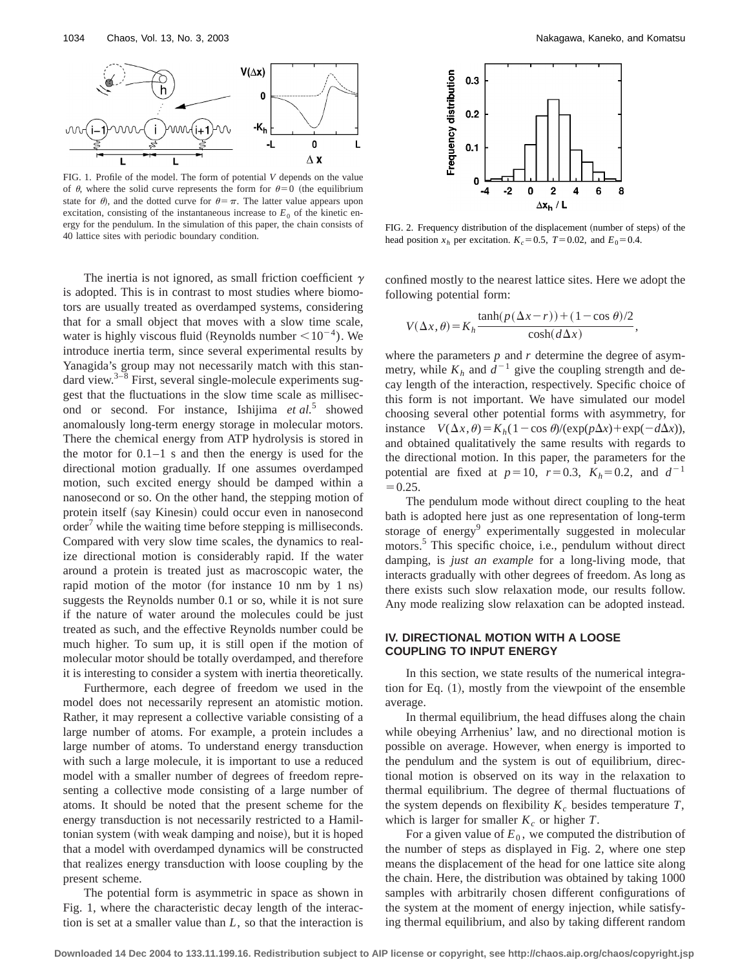

FIG. 1. Profile of the model. The form of potential *V* depends on the value of  $\theta$ , where the solid curve represents the form for  $\theta=0$  (the equilibrium state for  $\theta$ ), and the dotted curve for  $\theta = \pi$ . The latter value appears upon excitation, consisting of the instantaneous increase to  $E_0$  of the kinetic energy for the pendulum. In the simulation of this paper, the chain consists of ergy for the pendulum. In the simulation of this paper, the chain consists of FIG. 2. Frequency distribution of the displacement (number of steps) of the 40 lattice sites with periodic boundary condition.

The inertia is not ignored, as small friction coefficient  $\gamma$ is adopted. This is in contrast to most studies where biomotors are usually treated as overdamped systems, considering that for a small object that moves with a slow time scale, water is highly viscous fluid (Reynolds number  $\leq 10^{-4}$ ). We introduce inertia term, since several experimental results by Yanagida's group may not necessarily match with this standard view.<sup>3–8</sup> First, several single-molecule experiments suggest that the fluctuations in the slow time scale as millisecond or second. For instance, Ishijima et al.<sup>5</sup> showed anomalously long-term energy storage in molecular motors. There the chemical energy from ATP hydrolysis is stored in the motor for  $0.1-1$  s and then the energy is used for the directional motion gradually. If one assumes overdamped motion, such excited energy should be damped within a nanosecond or so. On the other hand, the stepping motion of protein itself (say Kinesin) could occur even in nanosecond  $order<sup>7</sup>$  while the waiting time before stepping is milliseconds. Compared with very slow time scales, the dynamics to realize directional motion is considerably rapid. If the water around a protein is treated just as macroscopic water, the rapid motion of the motor (for instance  $10$  nm by  $1$  ns) suggests the Reynolds number 0.1 or so, while it is not sure if the nature of water around the molecules could be just treated as such, and the effective Reynolds number could be much higher. To sum up, it is still open if the motion of molecular motor should be totally overdamped, and therefore it is interesting to consider a system with inertia theoretically.

Furthermore, each degree of freedom we used in the model does not necessarily represent an atomistic motion. Rather, it may represent a collective variable consisting of a large number of atoms. For example, a protein includes a large number of atoms. To understand energy transduction with such a large molecule, it is important to use a reduced model with a smaller number of degrees of freedom representing a collective mode consisting of a large number of atoms. It should be noted that the present scheme for the energy transduction is not necessarily restricted to a Hamiltonian system (with weak damping and noise), but it is hoped that a model with overdamped dynamics will be constructed that realizes energy transduction with loose coupling by the present scheme.

The potential form is asymmetric in space as shown in Fig. 1, where the characteristic decay length of the interaction is set at a smaller value than *L*, so that the interaction is



head position  $x_h$  per excitation.  $K_c = 0.5$ ,  $T = 0.02$ , and  $E_0 = 0.4$ .

confined mostly to the nearest lattice sites. Here we adopt the following potential form:

$$
V(\Delta x, \theta) = K_h \frac{\tanh(p(\Delta x - r)) + (1 - \cos \theta)/2}{\cosh(d\Delta x)},
$$

where the parameters  $p$  and  $r$  determine the degree of asymmetry, while  $K_h$  and  $d^{-1}$  give the coupling strength and decay length of the interaction, respectively. Specific choice of this form is not important. We have simulated our model choosing several other potential forms with asymmetry, for instance  $V(\Delta x, \theta) = K_h(1 - \cos \theta)/(\exp(\rho \Delta x) + \exp(-d\Delta x))$ , and obtained qualitatively the same results with regards to the directional motion. In this paper, the parameters for the potential are fixed at  $p=10$ ,  $r=0.3$ ,  $K_h=0.2$ , and  $d^{-1}$  $= 0.25.$ 

The pendulum mode without direct coupling to the heat bath is adopted here just as one representation of long-term storage of energy<sup>9</sup> experimentally suggested in molecular motors.<sup>5</sup> This specific choice, i.e., pendulum without direct damping, is *just an example* for a long-living mode, that interacts gradually with other degrees of freedom. As long as there exists such slow relaxation mode, our results follow. Any mode realizing slow relaxation can be adopted instead.

# **IV. DIRECTIONAL MOTION WITH A LOOSE COUPLING TO INPUT ENERGY**

In this section, we state results of the numerical integration for Eq.  $(1)$ , mostly from the viewpoint of the ensemble average.

In thermal equilibrium, the head diffuses along the chain while obeying Arrhenius' law, and no directional motion is possible on average. However, when energy is imported to the pendulum and the system is out of equilibrium, directional motion is observed on its way in the relaxation to thermal equilibrium. The degree of thermal fluctuations of the system depends on flexibility  $K_c$  besides temperature  $T$ , which is larger for smaller  $K_c$  or higher *T*.

For a given value of  $E_0$ , we computed the distribution of the number of steps as displayed in Fig. 2, where one step means the displacement of the head for one lattice site along the chain. Here, the distribution was obtained by taking 1000 samples with arbitrarily chosen different configurations of the system at the moment of energy injection, while satisfying thermal equilibrium, and also by taking different random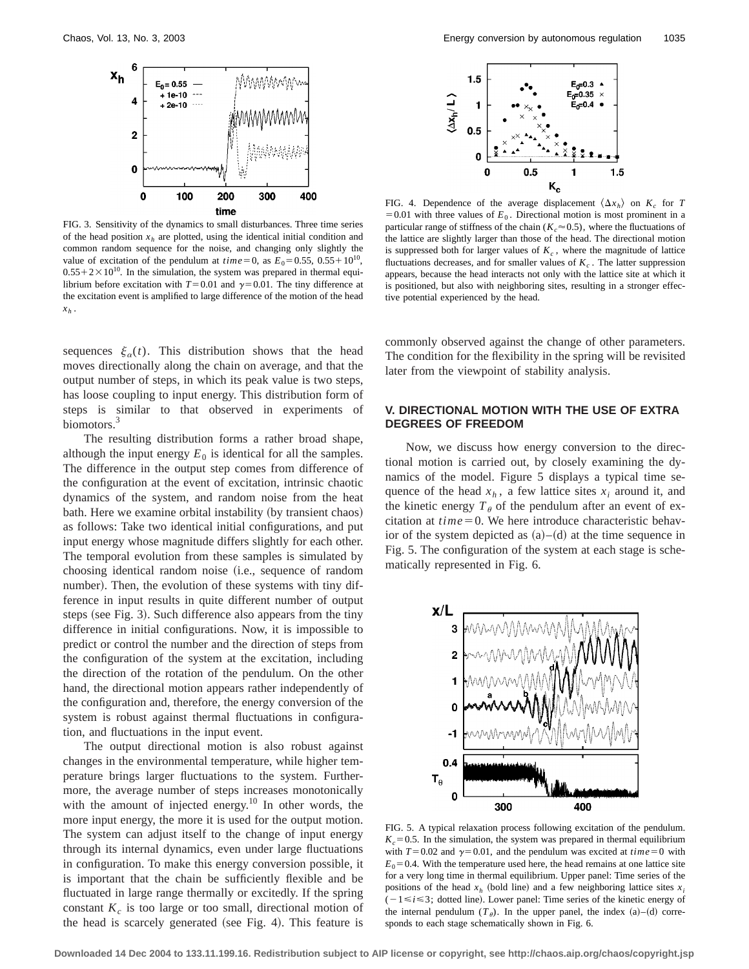

FIG. 3. Sensitivity of the dynamics to small disturbances. Three time series of the head position  $x_h$  are plotted, using the identical initial condition and common random sequence for the noise, and changing only slightly the value of excitation of the pendulum at  $time=0$ , as  $E_0=0.55$ ,  $0.55+10^{10}$ ,  $0.55+2\times10^{10}$ . In the simulation, the system was prepared in thermal equilibrium before excitation with  $T=0.01$  and  $\gamma=0.01$ . The tiny difference at the excitation event is amplified to large difference of the motion of the head  $x_h$ .

sequences  $\xi_a(t)$ . This distribution shows that the head moves directionally along the chain on average, and that the output number of steps, in which its peak value is two steps, has loose coupling to input energy. This distribution form of steps is similar to that observed in experiments of biomotors.<sup>3</sup>

The resulting distribution forms a rather broad shape, although the input energy  $E_0$  is identical for all the samples. The difference in the output step comes from difference of the configuration at the event of excitation, intrinsic chaotic dynamics of the system, and random noise from the heat bath. Here we examine orbital instability (by transient chaos) as follows: Take two identical initial configurations, and put input energy whose magnitude differs slightly for each other. The temporal evolution from these samples is simulated by choosing identical random noise (i.e., sequence of random number). Then, the evolution of these systems with tiny difference in input results in quite different number of output steps (see Fig. 3). Such difference also appears from the tiny difference in initial configurations. Now, it is impossible to predict or control the number and the direction of steps from the configuration of the system at the excitation, including the direction of the rotation of the pendulum. On the other hand, the directional motion appears rather independently of the configuration and, therefore, the energy conversion of the system is robust against thermal fluctuations in configuration, and fluctuations in the input event.

The output directional motion is also robust against changes in the environmental temperature, while higher temperature brings larger fluctuations to the system. Furthermore, the average number of steps increases monotonically with the amount of injected energy.<sup>10</sup> In other words, the more input energy, the more it is used for the output motion. The system can adjust itself to the change of input energy through its internal dynamics, even under large fluctuations in configuration. To make this energy conversion possible, it is important that the chain be sufficiently flexible and be fluctuated in large range thermally or excitedly. If the spring constant  $K_c$  is too large or too small, directional motion of the head is scarcely generated (see Fig. 4). This feature is



FIG. 4. Dependence of the average displacement  $\langle \Delta x_h \rangle$  on  $K_c$  for *T*  $=0.01$  with three values of  $E_0$ . Directional motion is most prominent in a particular range of stiffness of the chain ( $K_c \approx 0.5$ ), where the fluctuations of the lattice are slightly larger than those of the head. The directional motion is suppressed both for larger values of  $K_c$ , where the magnitude of lattice fluctuations decreases, and for smaller values of  $K_c$ . The latter suppression appears, because the head interacts not only with the lattice site at which it is positioned, but also with neighboring sites, resulting in a stronger effective potential experienced by the head.

commonly observed against the change of other parameters. The condition for the flexibility in the spring will be revisited later from the viewpoint of stability analysis.

# **V. DIRECTIONAL MOTION WITH THE USE OF EXTRA DEGREES OF FREEDOM**

Now, we discuss how energy conversion to the directional motion is carried out, by closely examining the dynamics of the model. Figure 5 displays a typical time sequence of the head  $x_h$ , a few lattice sites  $x_i$  around it, and the kinetic energy  $T_{\theta}$  of the pendulum after an event of excitation at  $time=0$ . We here introduce characteristic behavior of the system depicted as  $(a)$ – $(d)$  at the time sequence in Fig. 5. The configuration of the system at each stage is schematically represented in Fig. 6.



FIG. 5. A typical relaxation process following excitation of the pendulum.  $K_c$ =0.5. In the simulation, the system was prepared in thermal equilibrium with  $T=0.02$  and  $\gamma=0.01$ , and the pendulum was excited at  $time=0$  with  $E_0$ =0.4. With the temperature used here, the head remains at one lattice site for a very long time in thermal equilibrium. Upper panel: Time series of the positions of the head  $x_h$  (bold line) and a few neighboring lattice sites  $x_i$  $(-1 \le i \le 3$ ; dotted line). Lower panel: Time series of the kinetic energy of the internal pendulum  $(T_{\theta})$ . In the upper panel, the index  $(a)$ – $(d)$  corresponds to each stage schematically shown in Fig. 6.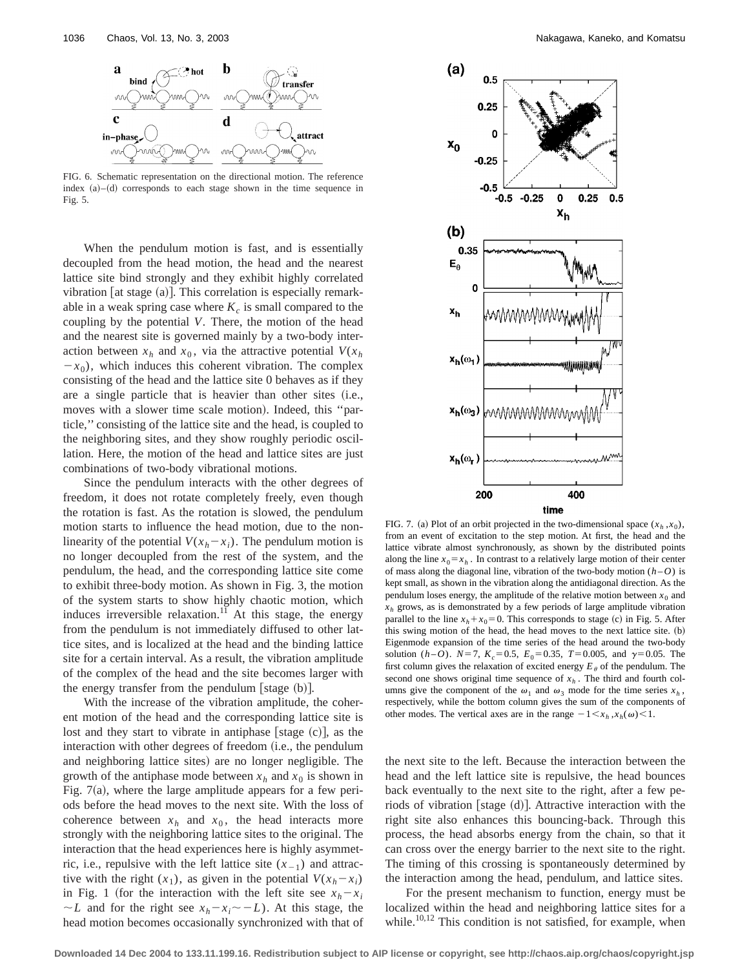

FIG. 6. Schematic representation on the directional motion. The reference  $index (a)–(d) corresponds to each stage shown in the time sequence in$ Fig. 5.

When the pendulum motion is fast, and is essentially decoupled from the head motion, the head and the nearest lattice site bind strongly and they exhibit highly correlated vibration  $[at stage (a)]$ . This correlation is especially remarkable in a weak spring case where  $K_c$  is small compared to the coupling by the potential *V*. There, the motion of the head and the nearest site is governed mainly by a two-body interaction between  $x_h$  and  $x_0$ , via the attractive potential  $V(x_h)$  $-x_0$ ), which induces this coherent vibration. The complex consisting of the head and the lattice site 0 behaves as if they are a single particle that is heavier than other sites (i.e., moves with a slower time scale motion). Indeed, this "particle,'' consisting of the lattice site and the head, is coupled to the neighboring sites, and they show roughly periodic oscillation. Here, the motion of the head and lattice sites are just combinations of two-body vibrational motions.

Since the pendulum interacts with the other degrees of freedom, it does not rotate completely freely, even though the rotation is fast. As the rotation is slowed, the pendulum motion starts to influence the head motion, due to the nonlinearity of the potential  $V(x_h - x_i)$ . The pendulum motion is no longer decoupled from the rest of the system, and the pendulum, the head, and the corresponding lattice site come to exhibit three-body motion. As shown in Fig. 3, the motion of the system starts to show highly chaotic motion, which induces irreversible relaxation.<sup>11</sup> At this stage, the energy from the pendulum is not immediately diffused to other lattice sites, and is localized at the head and the binding lattice site for a certain interval. As a result, the vibration amplitude of the complex of the head and the site becomes larger with the energy transfer from the pendulum [stage  $(b)$ ].

With the increase of the vibration amplitude, the coherent motion of the head and the corresponding lattice site is lost and they start to vibrate in antiphase [stage  $(c)$ ], as the interaction with other degrees of freedom (i.e., the pendulum and neighboring lattice sites) are no longer negligible. The growth of the antiphase mode between  $x_h$  and  $x_0$  is shown in Fig.  $7(a)$ , where the large amplitude appears for a few periods before the head moves to the next site. With the loss of coherence between  $x_h$  and  $x_0$ , the head interacts more strongly with the neighboring lattice sites to the original. The interaction that the head experiences here is highly asymmetric, i.e., repulsive with the left lattice site  $(x_{-1})$  and attractive with the right  $(x_1)$ , as given in the potential  $V(x_h - x_i)$ in Fig. 1 (for the interaction with the left site see  $x_h - x_i$  $\sim L$  and for the right see  $x_h - x_i \sim -L$ ). At this stage, the head motion becomes occasionally synchronized with that of



FIG. 7. (a) Plot of an orbit projected in the two-dimensional space  $(x_h, x_0)$ , from an event of excitation to the step motion. At first, the head and the lattice vibrate almost synchronously, as shown by the distributed points along the line  $x_0 = x_h$ . In contrast to a relatively large motion of their center of mass along the diagonal line, vibration of the two-body motion  $(h - O)$  is kept small, as shown in the vibration along the antidiagonal direction. As the pendulum loses energy, the amplitude of the relative motion between  $x_0$  and  $x<sub>h</sub>$  grows, as is demonstrated by a few periods of large amplitude vibration parallel to the line  $x_h + x_0 = 0$ . This corresponds to stage (c) in Fig. 5. After this swing motion of the head, the head moves to the next lattice site.  $(b)$ Eigenmode expansion of the time series of the head around the two-body solution (*h*-*O*). *N*=7,  $K_c$ =0.5,  $E_0$ =0.35, *T*=0.005, and  $\gamma$ =0.05. The first column gives the relaxation of excited energy  $E_{\theta}$  of the pendulum. The second one shows original time sequence of  $x<sub>h</sub>$ . The third and fourth columns give the component of the  $\omega_1$  and  $\omega_3$  mode for the time series  $x_h$ , respectively, while the bottom column gives the sum of the components of other modes. The vertical axes are in the range  $-1 \lt x_h$ ,  $x_h(\omega) \lt 1$ .

the next site to the left. Because the interaction between the head and the left lattice site is repulsive, the head bounces back eventually to the next site to the right, after a few periods of vibration [stage  $(d)$ ]. Attractive interaction with the right site also enhances this bouncing-back. Through this process, the head absorbs energy from the chain, so that it can cross over the energy barrier to the next site to the right. The timing of this crossing is spontaneously determined by the interaction among the head, pendulum, and lattice sites.

For the present mechanism to function, energy must be localized within the head and neighboring lattice sites for a while.<sup>10,12</sup> This condition is not satisfied, for example, when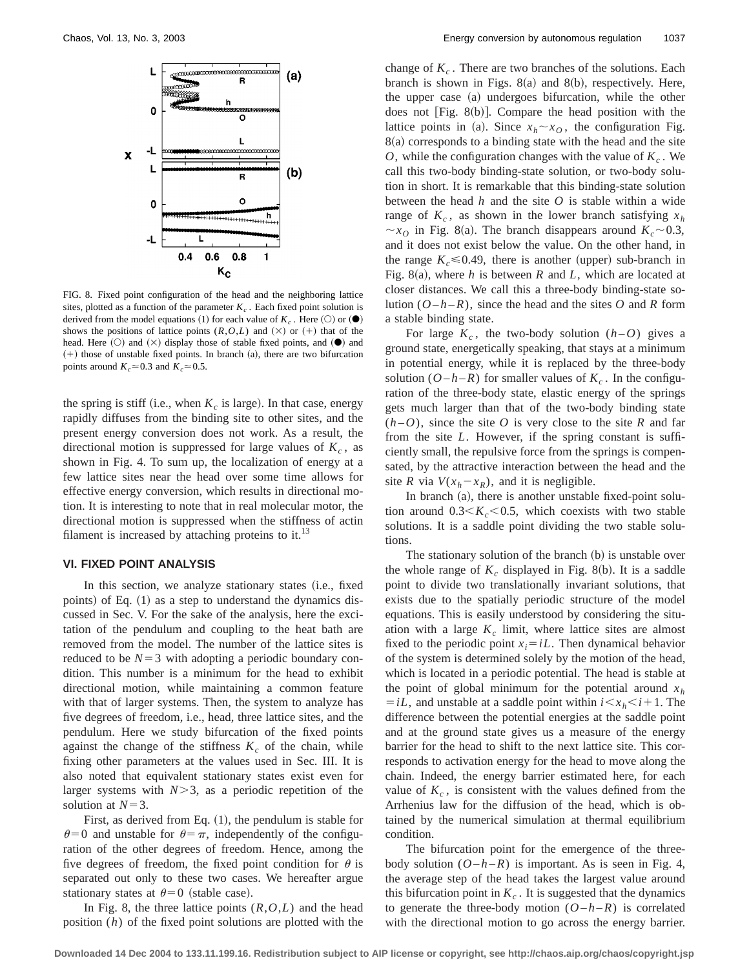

FIG. 8. Fixed point configuration of the head and the neighboring lattice sites, plotted as a function of the parameter  $K_c$ . Each fixed point solution is derived from the model equations (1) for each value of  $K_c$ . Here  $(\bigcirc)$  or  $(\bullet)$ shows the positions of lattice points  $(R, O, L)$  and  $(\times)$  or  $(+)$  that of the head. Here  $(O)$  and  $(X)$  display those of stable fixed points, and  $(O)$  and  $(+)$  those of unstable fixed points. In branch  $(a)$ , there are two bifurcation points around  $K_c \approx 0.3$  and  $K_c \approx 0.5$ .

the spring is stiff (i.e., when  $K_c$  is large). In that case, energy rapidly diffuses from the binding site to other sites, and the present energy conversion does not work. As a result, the directional motion is suppressed for large values of  $K_c$ , as shown in Fig. 4. To sum up, the localization of energy at a few lattice sites near the head over some time allows for effective energy conversion, which results in directional motion. It is interesting to note that in real molecular motor, the directional motion is suppressed when the stiffness of actin filament is increased by attaching proteins to it.<sup>13</sup>

## **VI. FIXED POINT ANALYSIS**

In this section, we analyze stationary states (i.e., fixed points) of Eq.  $(1)$  as a step to understand the dynamics discussed in Sec. V. For the sake of the analysis, here the excitation of the pendulum and coupling to the heat bath are removed from the model. The number of the lattice sites is reduced to be  $N=3$  with adopting a periodic boundary condition. This number is a minimum for the head to exhibit directional motion, while maintaining a common feature with that of larger systems. Then, the system to analyze has five degrees of freedom, i.e., head, three lattice sites, and the pendulum. Here we study bifurcation of the fixed points against the change of the stiffness  $K_c$  of the chain, while fixing other parameters at the values used in Sec. III. It is also noted that equivalent stationary states exist even for larger systems with  $N>3$ , as a periodic repetition of the solution at  $N=3$ .

First, as derived from Eq.  $(1)$ , the pendulum is stable for  $\theta$ =0 and unstable for  $\theta = \pi$ , independently of the configuration of the other degrees of freedom. Hence, among the five degrees of freedom, the fixed point condition for  $\theta$  is separated out only to these two cases. We hereafter argue stationary states at  $\theta=0$  (stable case).

In Fig. 8, the three lattice points  $(R, O, L)$  and the head position (*h*) of the fixed point solutions are plotted with the change of  $K_c$ . There are two branches of the solutions. Each branch is shown in Figs.  $8(a)$  and  $8(b)$ , respectively. Here, the upper case (a) undergoes bifurcation, while the other does not  $[Fig. 8(b)].$  Compare the head position with the lattice points in (a). Since  $x_h \sim x_O$ , the configuration Fig.  $8(a)$  corresponds to a binding state with the head and the site *O*, while the configuration changes with the value of  $K_c$ . We call this two-body binding-state solution, or two-body solution in short. It is remarkable that this binding-state solution between the head *h* and the site *O* is stable within a wide range of  $K_c$ , as shown in the lower branch satisfying  $x_h$  $\sim x_0$  in Fig. 8(a). The branch disappears around  $K_c \sim 0.3$ , and it does not exist below the value. On the other hand, in the range  $K_c \le 0.49$ , there is another (upper) sub-branch in Fig. 8(a), where  $h$  is between  $R$  and  $L$ , which are located at closer distances. We call this a three-body binding-state solution  $(O - h - R)$ , since the head and the sites *O* and *R* form a stable binding state.

For large  $K_c$ , the two-body solution  $(h - O)$  gives a ground state, energetically speaking, that stays at a minimum in potential energy, while it is replaced by the three-body solution  $(O - h - R)$  for smaller values of  $K_c$ . In the configuration of the three-body state, elastic energy of the springs gets much larger than that of the two-body binding state  $(h - O)$ , since the site *O* is very close to the site *R* and far from the site *L*. However, if the spring constant is sufficiently small, the repulsive force from the springs is compensated, by the attractive interaction between the head and the site *R* via  $V(x_h - x_R)$ , and it is negligible.

In branch  $(a)$ , there is another unstable fixed-point solution around  $0.3 \leq K_c \leq 0.5$ , which coexists with two stable solutions. It is a saddle point dividing the two stable solutions.

The stationary solution of the branch  $(b)$  is unstable over the whole range of  $K_c$  displayed in Fig. 8(b). It is a saddle point to divide two translationally invariant solutions, that exists due to the spatially periodic structure of the model equations. This is easily understood by considering the situation with a large  $K_c$  limit, where lattice sites are almost fixed to the periodic point  $x_i = iL$ . Then dynamical behavior of the system is determined solely by the motion of the head, which is located in a periodic potential. The head is stable at the point of global minimum for the potential around  $x<sub>h</sub>$  $\overline{\phantom{a}} = iL$ , and unstable at a saddle point within  $i \leq x_h \leq i+1$ . The difference between the potential energies at the saddle point and at the ground state gives us a measure of the energy barrier for the head to shift to the next lattice site. This corresponds to activation energy for the head to move along the chain. Indeed, the energy barrier estimated here, for each value of  $K_c$ , is consistent with the values defined from the Arrhenius law for the diffusion of the head, which is obtained by the numerical simulation at thermal equilibrium condition.

The bifurcation point for the emergence of the threebody solution  $(O - h - R)$  is important. As is seen in Fig. 4, the average step of the head takes the largest value around this bifurcation point in  $K_c$ . It is suggested that the dynamics to generate the three-body motion  $(O - h - R)$  is correlated with the directional motion to go across the energy barrier.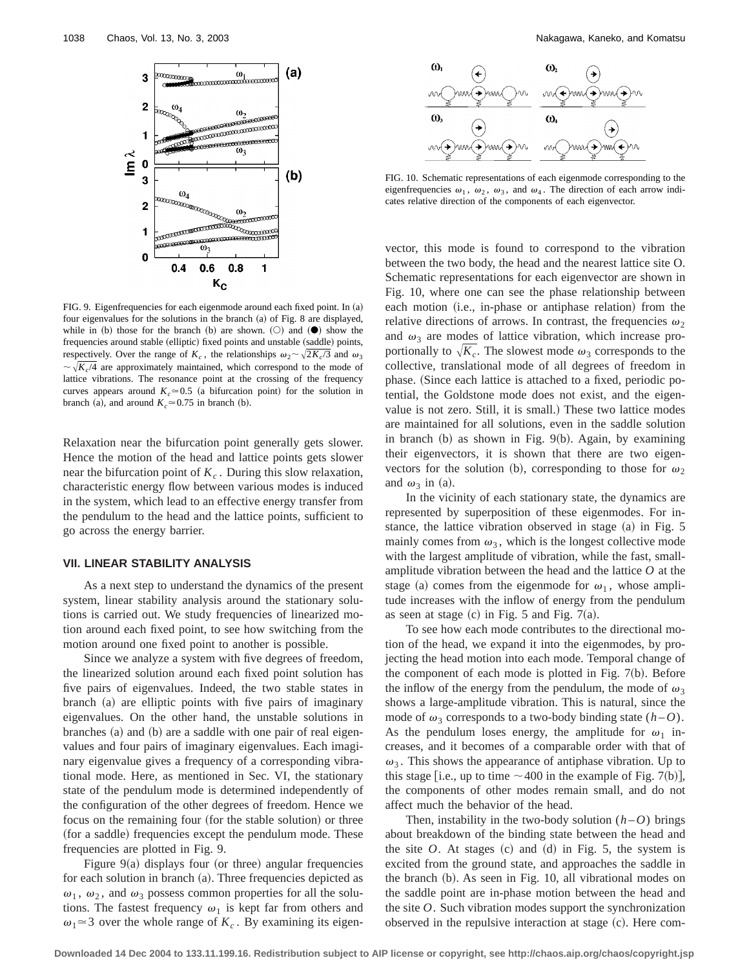

FIG. 9. Eigenfrequencies for each eigenmode around each fixed point. In  $(a)$ four eigenvalues for the solutions in the branch  $(a)$  of Fig. 8 are displayed, while in (b) those for the branch (b) are shown.  $(O)$  and  $(O)$  show the frequencies around stable (elliptic) fixed points and unstable (saddle) points, respectively. Over the range of  $K_c$ , the relationships  $\omega_2 \sim \sqrt{2K_c/3}$  and  $\omega_3$  $\sqrt{K_c/4}$  are approximately maintained, which correspond to the mode of lattice vibrations. The resonance point at the crossing of the frequency curves appears around  $K_c \approx 0.5$  (a bifurcation point) for the solution in branch (a), and around  $K_c \approx 0.75$  in branch (b).

Relaxation near the bifurcation point generally gets slower. Hence the motion of the head and lattice points gets slower near the bifurcation point of  $K_c$ . During this slow relaxation, characteristic energy flow between various modes is induced in the system, which lead to an effective energy transfer from the pendulum to the head and the lattice points, sufficient to go across the energy barrier.

## **VII. LINEAR STABILITY ANALYSIS**

As a next step to understand the dynamics of the present system, linear stability analysis around the stationary solutions is carried out. We study frequencies of linearized motion around each fixed point, to see how switching from the motion around one fixed point to another is possible.

Since we analyze a system with five degrees of freedom, the linearized solution around each fixed point solution has five pairs of eigenvalues. Indeed, the two stable states in branch (a) are elliptic points with five pairs of imaginary eigenvalues. On the other hand, the unstable solutions in branches  $(a)$  and  $(b)$  are a saddle with one pair of real eigenvalues and four pairs of imaginary eigenvalues. Each imaginary eigenvalue gives a frequency of a corresponding vibrational mode. Here, as mentioned in Sec. VI, the stationary state of the pendulum mode is determined independently of the configuration of the other degrees of freedom. Hence we focus on the remaining four (for the stable solution) or three (for a saddle) frequencies except the pendulum mode. These frequencies are plotted in Fig. 9.

Figure  $9(a)$  displays four (or three) angular frequencies for each solution in branch  $(a)$ . Three frequencies depicted as  $\omega_1$ ,  $\omega_2$ , and  $\omega_3$  possess common properties for all the solutions. The fastest frequency  $\omega_1$  is kept far from others and  $\omega_1 \approx 3$  over the whole range of  $K_c$ . By examining its eigen-



FIG. 10. Schematic representations of each eigenmode corresponding to the eigenfrequencies  $\omega_1$ ,  $\omega_2$ ,  $\omega_3$ , and  $\omega_4$ . The direction of each arrow indicates relative direction of the components of each eigenvector.

vector, this mode is found to correspond to the vibration between the two body, the head and the nearest lattice site O. Schematic representations for each eigenvector are shown in Fig. 10, where one can see the phase relationship between each motion (i.e., in-phase or antiphase relation) from the relative directions of arrows. In contrast, the frequencies  $\omega_2$ and  $\omega_3$  are modes of lattice vibration, which increase proportionally to  $\sqrt{K_c}$ . The slowest mode  $\omega_3$  corresponds to the collective, translational mode of all degrees of freedom in phase. (Since each lattice is attached to a fixed, periodic potential, the Goldstone mode does not exist, and the eigenvalue is not zero. Still, it is small.) These two lattice modes are maintained for all solutions, even in the saddle solution in branch  $(b)$  as shown in Fig. 9 $(b)$ . Again, by examining their eigenvectors, it is shown that there are two eigenvectors for the solution (b), corresponding to those for  $\omega_2$ and  $\omega_3$  in (a).

In the vicinity of each stationary state, the dynamics are represented by superposition of these eigenmodes. For instance, the lattice vibration observed in stage  $(a)$  in Fig. 5 mainly comes from  $\omega_3$ , which is the longest collective mode with the largest amplitude of vibration, while the fast, smallamplitude vibration between the head and the lattice *O* at the stage (a) comes from the eigenmode for  $\omega_1$ , whose amplitude increases with the inflow of energy from the pendulum as seen at stage  $(c)$  in Fig. 5 and Fig. 7 $(a)$ .

To see how each mode contributes to the directional motion of the head, we expand it into the eigenmodes, by projecting the head motion into each mode. Temporal change of the component of each mode is plotted in Fig.  $7(b)$ . Before the inflow of the energy from the pendulum, the mode of  $\omega_3$ shows a large-amplitude vibration. This is natural, since the mode of  $\omega_3$  corresponds to a two-body binding state  $(h - O)$ . As the pendulum loses energy, the amplitude for  $\omega_1$  increases, and it becomes of a comparable order with that of  $\omega_3$ . This shows the appearance of antiphase vibration. Up to this stage [i.e., up to time  $\sim$  400 in the example of Fig. 7(b)], the components of other modes remain small, and do not affect much the behavior of the head.

Then, instability in the two-body solution  $(h - O)$  brings about breakdown of the binding state between the head and the site  $O$ . At stages  $(c)$  and  $(d)$  in Fig. 5, the system is excited from the ground state, and approaches the saddle in the branch (b). As seen in Fig. 10, all vibrational modes on the saddle point are in-phase motion between the head and the site *O*. Such vibration modes support the synchronization observed in the repulsive interaction at stage  $(c)$ . Here com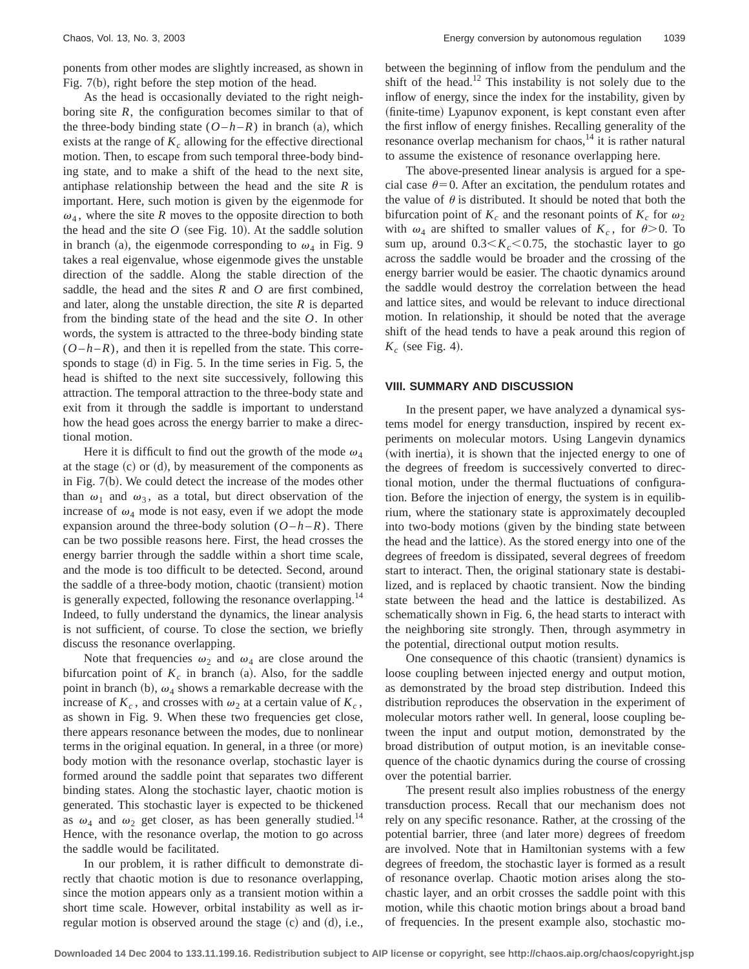ponents from other modes are slightly increased, as shown in Fig.  $7(b)$ , right before the step motion of the head.

As the head is occasionally deviated to the right neighboring site *R*, the configuration becomes similar to that of the three-body binding state  $(O - h - R)$  in branch (a), which exists at the range of  $K_c$  allowing for the effective directional motion. Then, to escape from such temporal three-body binding state, and to make a shift of the head to the next site, antiphase relationship between the head and the site *R* is important. Here, such motion is given by the eigenmode for  $\omega_4$ , where the site *R* moves to the opposite direction to both the head and the site  $O$  (see Fig. 10). At the saddle solution in branch (a), the eigenmode corresponding to  $\omega_4$  in Fig. 9 takes a real eigenvalue, whose eigenmode gives the unstable direction of the saddle. Along the stable direction of the saddle, the head and the sites *R* and *O* are first combined, and later, along the unstable direction, the site *R* is departed from the binding state of the head and the site *O*. In other words, the system is attracted to the three-body binding state  $(O - h - R)$ , and then it is repelled from the state. This corresponds to stage  $(d)$  in Fig. 5. In the time series in Fig. 5, the head is shifted to the next site successively, following this attraction. The temporal attraction to the three-body state and exit from it through the saddle is important to understand how the head goes across the energy barrier to make a directional motion.

Here it is difficult to find out the growth of the mode  $\omega_4$ at the stage  $(c)$  or  $(d)$ , by measurement of the components as in Fig.  $7(b)$ . We could detect the increase of the modes other than  $\omega_1$  and  $\omega_3$ , as a total, but direct observation of the increase of  $\omega_4$  mode is not easy, even if we adopt the mode expansion around the three-body solution  $(O - h - R)$ . There can be two possible reasons here. First, the head crosses the energy barrier through the saddle within a short time scale, and the mode is too difficult to be detected. Second, around the saddle of a three-body motion, chaotic (transient) motion is generally expected, following the resonance overlapping.<sup>14</sup> Indeed, to fully understand the dynamics, the linear analysis is not sufficient, of course. To close the section, we briefly discuss the resonance overlapping.

Note that frequencies  $\omega_2$  and  $\omega_4$  are close around the bifurcation point of  $K_c$  in branch (a). Also, for the saddle point in branch (b),  $\omega_4$  shows a remarkable decrease with the increase of  $K_c$ , and crosses with  $\omega_2$  at a certain value of  $K_c$ , as shown in Fig. 9. When these two frequencies get close, there appears resonance between the modes, due to nonlinear terms in the original equation. In general, in a three (or more) body motion with the resonance overlap, stochastic layer is formed around the saddle point that separates two different binding states. Along the stochastic layer, chaotic motion is generated. This stochastic layer is expected to be thickened as  $\omega_4$  and  $\omega_2$  get closer, as has been generally studied.<sup>14</sup> Hence, with the resonance overlap, the motion to go across the saddle would be facilitated.

In our problem, it is rather difficult to demonstrate directly that chaotic motion is due to resonance overlapping, since the motion appears only as a transient motion within a short time scale. However, orbital instability as well as irregular motion is observed around the stage  $(c)$  and  $(d)$ , i.e., between the beginning of inflow from the pendulum and the shift of the head.<sup>12</sup> This instability is not solely due to the inflow of energy, since the index for the instability, given by (finite-time) Lyapunov exponent, is kept constant even after the first inflow of energy finishes. Recalling generality of the resonance overlap mechanism for chaos, $^{14}$  it is rather natural to assume the existence of resonance overlapping here.

The above-presented linear analysis is argued for a special case  $\theta$ =0. After an excitation, the pendulum rotates and the value of  $\theta$  is distributed. It should be noted that both the bifurcation point of  $K_c$  and the resonant points of  $K_c$  for  $\omega_2$ with  $\omega_4$  are shifted to smaller values of  $K_c$ , for  $\theta > 0$ . To sum up, around  $0.3 \leq K_c \leq 0.75$ , the stochastic layer to go across the saddle would be broader and the crossing of the energy barrier would be easier. The chaotic dynamics around the saddle would destroy the correlation between the head and lattice sites, and would be relevant to induce directional motion. In relationship, it should be noted that the average shift of the head tends to have a peak around this region of  $K_c$  (see Fig. 4).

### **VIII. SUMMARY AND DISCUSSION**

In the present paper, we have analyzed a dynamical systems model for energy transduction, inspired by recent experiments on molecular motors. Using Langevin dynamics (with inertia), it is shown that the injected energy to one of the degrees of freedom is successively converted to directional motion, under the thermal fluctuations of configuration. Before the injection of energy, the system is in equilibrium, where the stationary state is approximately decoupled into two-body motions (given by the binding state between the head and the lattice). As the stored energy into one of the degrees of freedom is dissipated, several degrees of freedom start to interact. Then, the original stationary state is destabilized, and is replaced by chaotic transient. Now the binding state between the head and the lattice is destabilized. As schematically shown in Fig. 6, the head starts to interact with the neighboring site strongly. Then, through asymmetry in the potential, directional output motion results.

One consequence of this chaotic (transient) dynamics is loose coupling between injected energy and output motion, as demonstrated by the broad step distribution. Indeed this distribution reproduces the observation in the experiment of molecular motors rather well. In general, loose coupling between the input and output motion, demonstrated by the broad distribution of output motion, is an inevitable consequence of the chaotic dynamics during the course of crossing over the potential barrier.

The present result also implies robustness of the energy transduction process. Recall that our mechanism does not rely on any specific resonance. Rather, at the crossing of the potential barrier, three (and later more) degrees of freedom are involved. Note that in Hamiltonian systems with a few degrees of freedom, the stochastic layer is formed as a result of resonance overlap. Chaotic motion arises along the stochastic layer, and an orbit crosses the saddle point with this motion, while this chaotic motion brings about a broad band of frequencies. In the present example also, stochastic mo